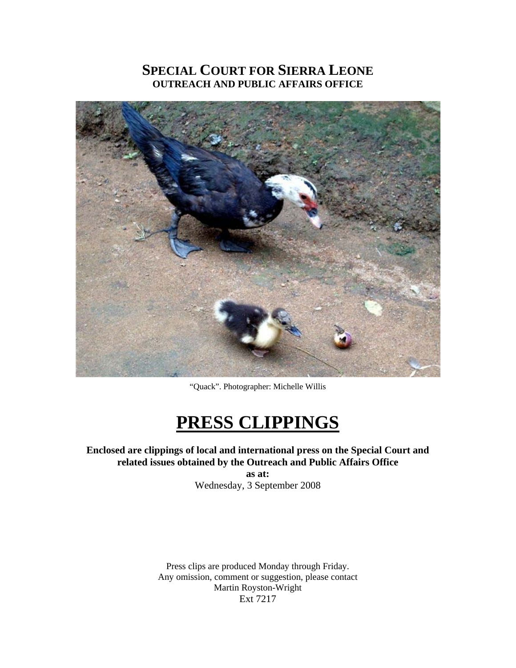## **SPECIAL COURT FOR SIERRA LEONE OUTREACH AND PUBLIC AFFAIRS OFFICE**



"Quack". Photographer: Michelle Willis

# **PRESS CLIPPINGS**

## **Enclosed are clippings of local and international press on the Special Court and related issues obtained by the Outreach and Public Affairs Office**

**as at:**  Wednesday, 3 September 2008

Press clips are produced Monday through Friday. Any omission, comment or suggestion, please contact Martin Royston-Wright Ext 7217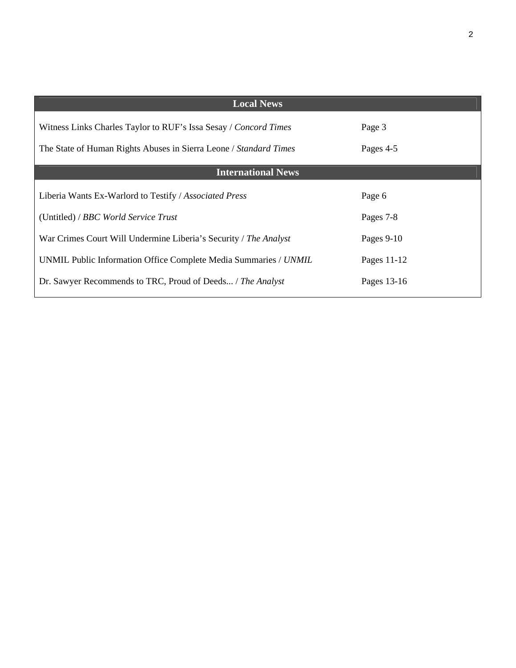| <b>Local News</b>                                                 |              |
|-------------------------------------------------------------------|--------------|
| Witness Links Charles Taylor to RUF's Issa Sesay / Concord Times  | Page 3       |
| The State of Human Rights Abuses in Sierra Leone / Standard Times | Pages 4-5    |
| <b>International News</b>                                         |              |
| Liberia Wants Ex-Warlord to Testify / Associated Press            | Page 6       |
| (Untitled) / BBC World Service Trust                              | Pages 7-8    |
| War Crimes Court Will Undermine Liberia's Security / The Analyst  | Pages $9-10$ |
| UNMIL Public Information Office Complete Media Summaries / UNMIL  | Pages 11-12  |
| Dr. Sawyer Recommends to TRC, Proud of Deeds / The Analyst        | Pages 13-16  |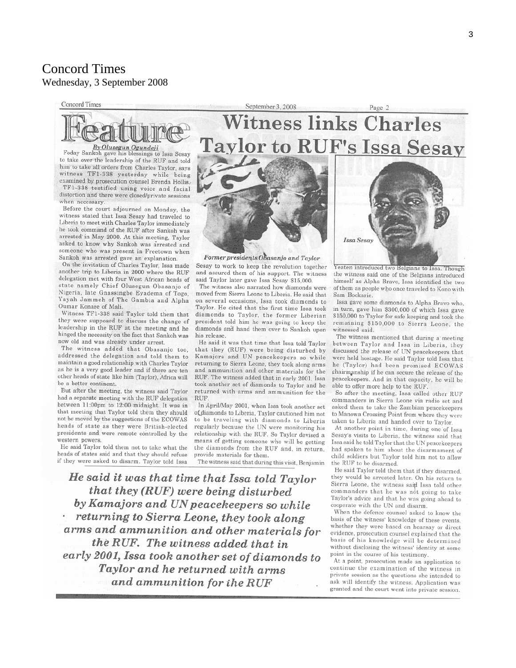## Concord Times Wednesday, 3 September 2008

#### **Concord Times**



to take over the leadership of the RUF and told him to take all orders from Charles Taylor, says witness TF1-338 yesterday while being examined by prosecution counsel Brenda Hollis. TF1-338 testified using voice and facial distortion and there were closed/private sessions when necessary.

Before the court adjourned on Monday, the witness stated that Issa Sesay had traveled to Liberia to meet with Charles Taylor immediately he took command of the RUF after Sankoh was arrested in May 2000. At this meeting, Taylor asked to know why Sankoh was arrested and someone who was present in Freetown when Sankoh was arrested gave an explanation.

On the invitation of Charles Taylor, Issa made another trip to Liberia in 2000 where the RUF delegation met with four West African heads of state namely Chief Olusegun Obasanjo of Nigeria, late Gnassingbe Eyadema of Togo, Yayah Jammeh of The Gambia and Alpha Oumar Konare of Mali

Witness TF1-338 said Taylor told them that they were supposed to discuss the change of leadership in the RUF at the meeting and he hinged the necessity on the fact that Sankoh was now old and was already under arrest.

The witness added that Obasanjo too, addressed the delegation and told them to maintain a good relationship with Charles Taylor as he is a very good leader and if there are ten other heads of state like him (Taylor), Africa will be a better continent.

But after the meeting, the witness said Taylor had a separate meeting with the RUF delegation between 11:00pm to 12:00 midnight. It was in that meeting that Taylor told them they should not be moved by the suggestions of the ECOWAS heads of state as they were British-elected presidents and were remote controlled by the western nowers.

He said Taylor told them not to take what the heads of states said and that they should refuse if they were asked to disarm. Taylor told Issa



September 3, 2008

#### Former presidents Obasanjo and Taylor

Sesay to work to keep the revolution together and assured them of his support. The witness said Taylor later gave Issa Sesay \$15,000.

The witness also narrated how diamonds were moved from Sierra Leone to Liberia. He said that on several occasions, Issa took diamonds to Taylor. He cited that the first time Issa took diamonds to Taylor, the former Liberian president told him he was going to keep the diamonds and hand them over to Sankoh upon his release.

He said it was that time that Issa told Taylor that they (RUF) were being disturbed by Kamajors and UN peacekeepers so while returning to Sierra Leone, they took along arms and ammunition and other materials for the RUF. The witness added that in early 2001, Issa took another set of diamonds to Taylor and he returned with arms and ammunition for the RUF

In April/May 2001, when Issa took another set of diamonds to Liberia, Taylor cautioned him not to be traveling with diamonds to Liberia regularly because the UN were monitoring his relationship with the RUF. So Taylor devised a means of getting someone who will be getting the diamonds from the RUF and, in return, provide materials for them. The witness said that during this visit, Benjamin

He said it was that time that Issa told Taylor

that they (RUF) were being disturbed

by Kamajors and UN peacekeepers so while

returning to Sierra Leone, they took along

arms and ammunition and other materials for

the RUF. The witness added that in

early 2001, Issa took another set of diamonds to

Taylor and he returned with arms

and ammunition for the RUF



Page 2

**Witness links Charles** 

Yeaten introduced two Belgians to Issa. Though the witness said one of the Belgians introduced himself as Alpha Bravo, Issa identified the two of them as people who once traveled to Kono with Sam Bockarie.

Issa gave some diamonds to Alpha Bravo who, in turn, gave him \$300,000 of which Issa gave \$150,000 to Taylor for safe keeping and took the remaining \$150,000 to Sierra Leone, the witnessed said.

The witness mentioned that during a meeting between Taylor and Issa in Liberia, they discussed the release of UN peacekeepers that were held hostage. He said Taylor told Issa that he (Taylor) had been promised ECOWAS chairmanship if he can secure the release of the peacekeepers. And in that capacity, he will be able to offer more help to the RUF.

So after the meeting, Issa called other RUF commanders in Sierra Leone via radio set and asked them to take the Zambian peacekeepers to Manowa Crossing Point from where they were taken to Liberia and handed over to Taylor.

At another point in time, during one of Issa Sesay's visits to Liberia, the witness said that Issa said he told Taylor that the UN peacekeepers had spoken to him about the disarmament of child soldiers but Taylor told him not to allow the RUF to be disarmed.

He said Taylor told them that if they disarmed, they would be arrested later. On his return to Sierra Leone, the witness said Issa told other commanders that he was not going to take Taylor's advice and that he was going ahead to cooperate with the UN and disarm.

When the defence counsel asked to know the basis of the witness' knowledge of these events, whether they were based on hearsay or direct evidence, prosecution counsel explained that the basis of his knowledge will be determined without disclosing the witness' identity at some point in the course of his testimony.

At a point, prosecution made an application to continue the examination of the witness in private session as the questions she intended to ask will identify the witness. Application was granted and the court went into private session.

3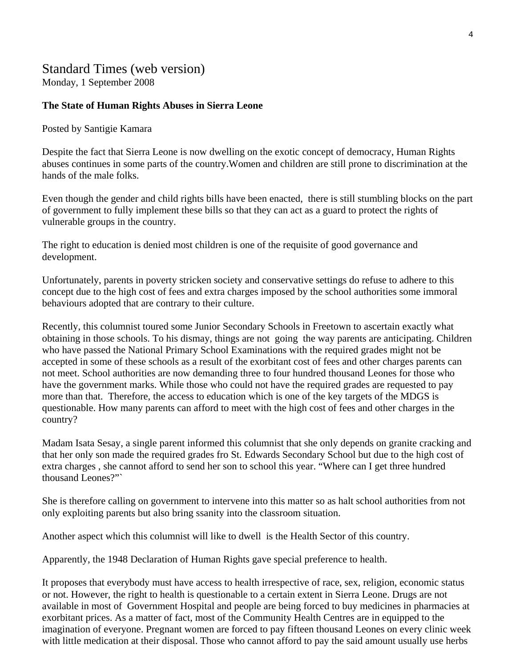### Standard Times (web version) Monday, 1 September 2008

#### **The State of Human Rights Abuses in Sierra Leone**

Posted by Santigie Kamara

Despite the fact that Sierra Leone is now dwelling on the exotic concept of democracy, Human Rights abuses continues in some parts of the country.Women and children are still prone to discrimination at the hands of the male folks.

Even though the gender and child rights bills have been enacted, there is still stumbling blocks on the part of government to fully implement these bills so that they can act as a guard to protect the rights of vulnerable groups in the country.

The right to education is denied most children is one of the requisite of good governance and development.

Unfortunately, parents in poverty stricken society and conservative settings do refuse to adhere to this concept due to the high cost of fees and extra charges imposed by the school authorities some immoral behaviours adopted that are contrary to their culture.

Recently, this columnist toured some Junior Secondary Schools in Freetown to ascertain exactly what obtaining in those schools. To his dismay, things are not going the way parents are anticipating. Children who have passed the National Primary School Examinations with the required grades might not be accepted in some of these schools as a result of the exorbitant cost of fees and other charges parents can not meet. School authorities are now demanding three to four hundred thousand Leones for those who have the government marks. While those who could not have the required grades are requested to pay more than that. Therefore, the access to education which is one of the key targets of the MDGS is questionable. How many parents can afford to meet with the high cost of fees and other charges in the country?

Madam Isata Sesay, a single parent informed this columnist that she only depends on granite cracking and that her only son made the required grades fro St. Edwards Secondary School but due to the high cost of extra charges , she cannot afford to send her son to school this year. "Where can I get three hundred thousand Leones?"`

She is therefore calling on government to intervene into this matter so as halt school authorities from not only exploiting parents but also bring ssanity into the classroom situation.

Another aspect which this columnist will like to dwell is the Health Sector of this country.

Apparently, the 1948 Declaration of Human Rights gave special preference to health.

It proposes that everybody must have access to health irrespective of race, sex, religion, economic status or not. However, the right to health is questionable to a certain extent in Sierra Leone. Drugs are not available in most of Government Hospital and people are being forced to buy medicines in pharmacies at exorbitant prices. As a matter of fact, most of the Community Health Centres are in equipped to the imagination of everyone. Pregnant women are forced to pay fifteen thousand Leones on every clinic week with little medication at their disposal. Those who cannot afford to pay the said amount usually use herbs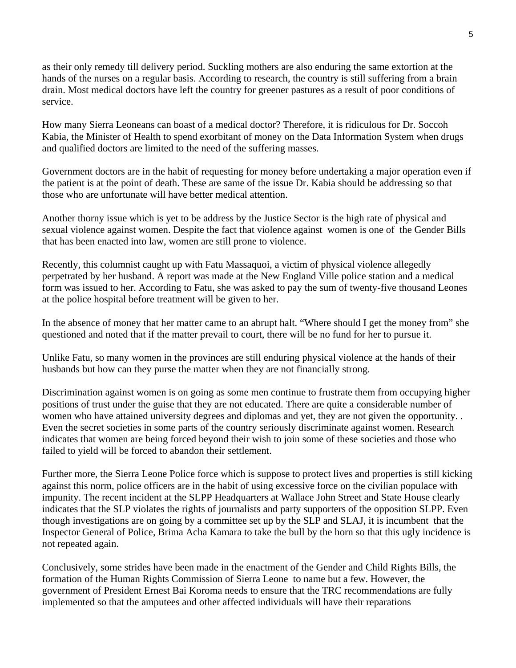as their only remedy till delivery period. Suckling mothers are also enduring the same extortion at the hands of the nurses on a regular basis. According to research, the country is still suffering from a brain drain. Most medical doctors have left the country for greener pastures as a result of poor conditions of service.

How many Sierra Leoneans can boast of a medical doctor? Therefore, it is ridiculous for Dr. Soccoh Kabia, the Minister of Health to spend exorbitant of money on the Data Information System when drugs and qualified doctors are limited to the need of the suffering masses.

Government doctors are in the habit of requesting for money before undertaking a major operation even if the patient is at the point of death. These are same of the issue Dr. Kabia should be addressing so that those who are unfortunate will have better medical attention.

Another thorny issue which is yet to be address by the Justice Sector is the high rate of physical and sexual violence against women. Despite the fact that violence against women is one of the Gender Bills that has been enacted into law, women are still prone to violence.

Recently, this columnist caught up with Fatu Massaquoi, a victim of physical violence allegedly perpetrated by her husband. A report was made at the New England Ville police station and a medical form was issued to her. According to Fatu, she was asked to pay the sum of twenty-five thousand Leones at the police hospital before treatment will be given to her.

In the absence of money that her matter came to an abrupt halt. "Where should I get the money from" she questioned and noted that if the matter prevail to court, there will be no fund for her to pursue it.

Unlike Fatu, so many women in the provinces are still enduring physical violence at the hands of their husbands but how can they purse the matter when they are not financially strong.

Discrimination against women is on going as some men continue to frustrate them from occupying higher positions of trust under the guise that they are not educated. There are quite a considerable number of women who have attained university degrees and diplomas and yet, they are not given the opportunity. . Even the secret societies in some parts of the country seriously discriminate against women. Research indicates that women are being forced beyond their wish to join some of these societies and those who failed to yield will be forced to abandon their settlement.

Further more, the Sierra Leone Police force which is suppose to protect lives and properties is still kicking against this norm, police officers are in the habit of using excessive force on the civilian populace with impunity. The recent incident at the SLPP Headquarters at Wallace John Street and State House clearly indicates that the SLP violates the rights of journalists and party supporters of the opposition SLPP. Even though investigations are on going by a committee set up by the SLP and SLAJ, it is incumbent that the Inspector General of Police, Brima Acha Kamara to take the bull by the horn so that this ugly incidence is not repeated again.

Conclusively, some strides have been made in the enactment of the Gender and Child Rights Bills, the formation of the Human Rights Commission of Sierra Leone to name but a few. However, the government of President Ernest Bai Koroma needs to ensure that the TRC recommendations are fully implemented so that the amputees and other affected individuals will have their reparations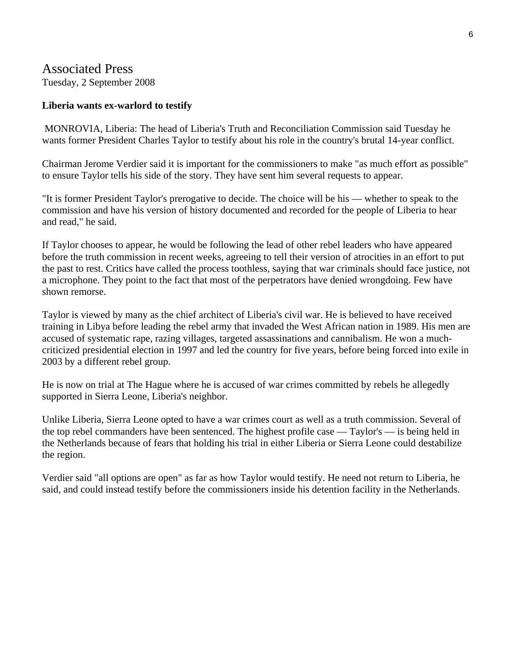## Associated Press

Tuesday, 2 September 2008

#### **Liberia wants ex-warlord to testify**

 MONROVIA, Liberia: The head of Liberia's Truth and Reconciliation Commission said Tuesday he wants former President Charles Taylor to testify about his role in the country's brutal 14-year conflict.

Chairman Jerome Verdier said it is important for the commissioners to make "as much effort as possible" to ensure Taylor tells his side of the story. They have sent him several requests to appear.

"It is former President Taylor's prerogative to decide. The choice will be his — whether to speak to the commission and have his version of history documented and recorded for the people of Liberia to hear and read," he said.

If Taylor chooses to appear, he would be following the lead of other rebel leaders who have appeared before the truth commission in recent weeks, agreeing to tell their version of atrocities in an effort to put the past to rest. Critics have called the process toothless, saying that war criminals should face justice, not a microphone. They point to the fact that most of the perpetrators have denied wrongdoing. Few have shown remorse.

Taylor is viewed by many as the chief architect of Liberia's civil war. He is believed to have received training in Libya before leading the rebel army that invaded the West African nation in 1989. His men are accused of systematic rape, razing villages, targeted assassinations and cannibalism. He won a muchcriticized presidential election in 1997 and led the country for five years, before being forced into exile in 2003 by a different rebel group.

He is now on trial at The Hague where he is accused of war crimes committed by rebels he allegedly supported in Sierra Leone, Liberia's neighbor.

Unlike Liberia, Sierra Leone opted to have a war crimes court as well as a truth commission. Several of the top rebel commanders have been sentenced. The highest profile case — Taylor's — is being held in the Netherlands because of fears that holding his trial in either Liberia or Sierra Leone could destabilize the region.

Verdier said "all options are open" as far as how Taylor would testify. He need not return to Liberia, he said, and could instead testify before the commissioners inside his detention facility in the Netherlands.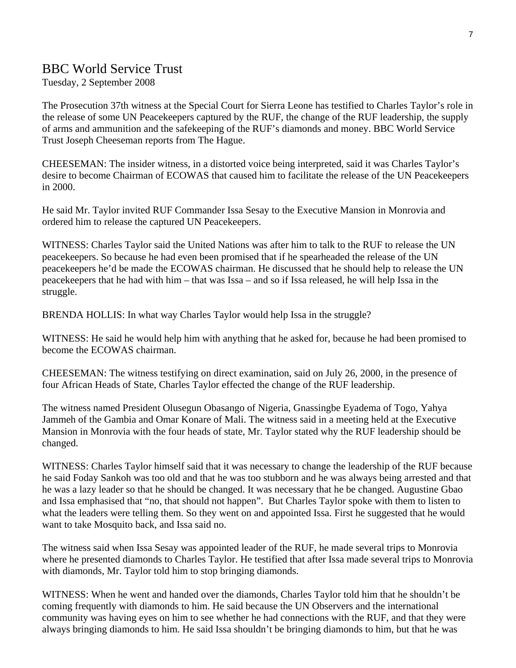## BBC World Service Trust

Tuesday, 2 September 2008

The Prosecution 37th witness at the Special Court for Sierra Leone has testified to Charles Taylor's role in the release of some UN Peacekeepers captured by the RUF, the change of the RUF leadership, the supply of arms and ammunition and the safekeeping of the RUF's diamonds and money. BBC World Service Trust Joseph Cheeseman reports from The Hague.

CHEESEMAN: The insider witness, in a distorted voice being interpreted, said it was Charles Taylor's desire to become Chairman of ECOWAS that caused him to facilitate the release of the UN Peacekeepers in 2000.

He said Mr. Taylor invited RUF Commander Issa Sesay to the Executive Mansion in Monrovia and ordered him to release the captured UN Peacekeepers.

WITNESS: Charles Taylor said the United Nations was after him to talk to the RUF to release the UN peacekeepers. So because he had even been promised that if he spearheaded the release of the UN peacekeepers he'd be made the ECOWAS chairman. He discussed that he should help to release the UN peacekeepers that he had with him – that was Issa – and so if Issa released, he will help Issa in the struggle.

BRENDA HOLLIS: In what way Charles Taylor would help Issa in the struggle?

WITNESS: He said he would help him with anything that he asked for, because he had been promised to become the ECOWAS chairman.

CHEESEMAN: The witness testifying on direct examination, said on July 26, 2000, in the presence of four African Heads of State, Charles Taylor effected the change of the RUF leadership.

The witness named President Olusegun Obasango of Nigeria, Gnassingbe Eyadema of Togo, Yahya Jammeh of the Gambia and Omar Konare of Mali. The witness said in a meeting held at the Executive Mansion in Monrovia with the four heads of state, Mr. Taylor stated why the RUF leadership should be changed.

WITNESS: Charles Taylor himself said that it was necessary to change the leadership of the RUF because he said Foday Sankoh was too old and that he was too stubborn and he was always being arrested and that he was a lazy leader so that he should be changed. It was necessary that he be changed. Augustine Gbao and Issa emphasised that "no, that should not happen". But Charles Taylor spoke with them to listen to what the leaders were telling them. So they went on and appointed Issa. First he suggested that he would want to take Mosquito back, and Issa said no.

The witness said when Issa Sesay was appointed leader of the RUF, he made several trips to Monrovia where he presented diamonds to Charles Taylor. He testified that after Issa made several trips to Monrovia with diamonds, Mr. Taylor told him to stop bringing diamonds.

WITNESS: When he went and handed over the diamonds, Charles Taylor told him that he shouldn't be coming frequently with diamonds to him. He said because the UN Observers and the international community was having eyes on him to see whether he had connections with the RUF, and that they were always bringing diamonds to him. He said Issa shouldn't be bringing diamonds to him, but that he was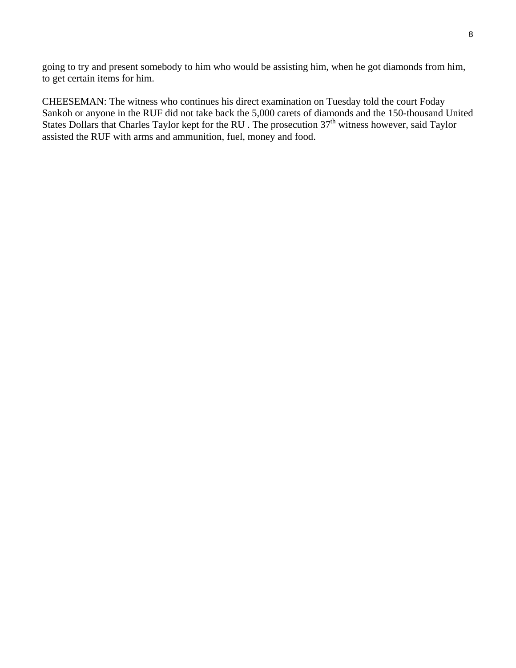going to try and present somebody to him who would be assisting him, when he got diamonds from him, to get certain items for him.

CHEESEMAN: The witness who continues his direct examination on Tuesday told the court Foday Sankoh or anyone in the RUF did not take back the 5,000 carets of diamonds and the 150-thousand United States Dollars that Charles Taylor kept for the RU. The prosecution 37<sup>th</sup> witness however, said Taylor assisted the RUF with arms and ammunition, fuel, money and food.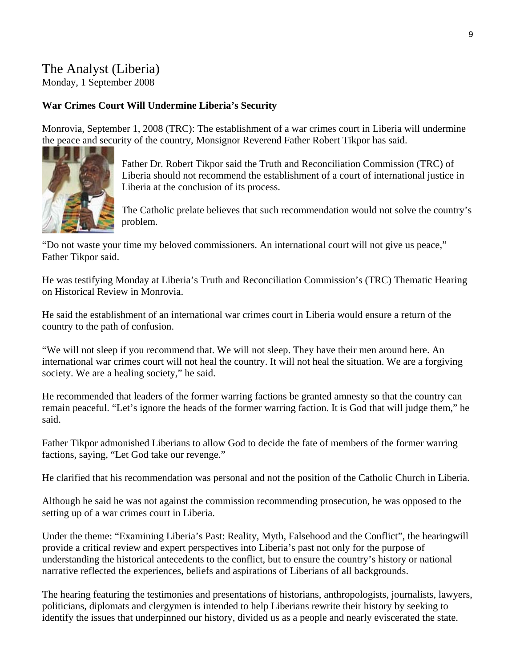## The Analyst (Liberia)

Monday, 1 September 2008

## **War Crimes Court Will Undermine Liberia's Security**

Monrovia, September 1, 2008 (TRC): The establishment of a war crimes court in Liberia will undermine the peace and security of the country, Monsignor Reverend Father Robert Tikpor has said.



Father Dr. Robert Tikpor said the Truth and Reconciliation Commission (TRC) of Liberia should not recommend the establishment of a court of international justice in Liberia at the conclusion of its process.

The Catholic prelate believes that such recommendation would not solve the country's problem.

"Do not waste your time my beloved commissioners. An international court will not give us peace," Father Tikpor said.

He was testifying Monday at Liberia's Truth and Reconciliation Commission's (TRC) Thematic Hearing on Historical Review in Monrovia.

He said the establishment of an international war crimes court in Liberia would ensure a return of the country to the path of confusion.

"We will not sleep if you recommend that. We will not sleep. They have their men around here. An international war crimes court will not heal the country. It will not heal the situation. We are a forgiving society. We are a healing society," he said.

He recommended that leaders of the former warring factions be granted amnesty so that the country can remain peaceful. "Let's ignore the heads of the former warring faction. It is God that will judge them," he said.

Father Tikpor admonished Liberians to allow God to decide the fate of members of the former warring factions, saying, "Let God take our revenge."

He clarified that his recommendation was personal and not the position of the Catholic Church in Liberia.

Although he said he was not against the commission recommending prosecution, he was opposed to the setting up of a war crimes court in Liberia.

Under the theme: "Examining Liberia's Past: Reality, Myth, Falsehood and the Conflict", the hearingwill provide a critical review and expert perspectives into Liberia's past not only for the purpose of understanding the historical antecedents to the conflict, but to ensure the country's history or national narrative reflected the experiences, beliefs and aspirations of Liberians of all backgrounds.

The hearing featuring the testimonies and presentations of historians, anthropologists, journalists, lawyers, politicians, diplomats and clergymen is intended to help Liberians rewrite their history by seeking to identify the issues that underpinned our history, divided us as a people and nearly eviscerated the state.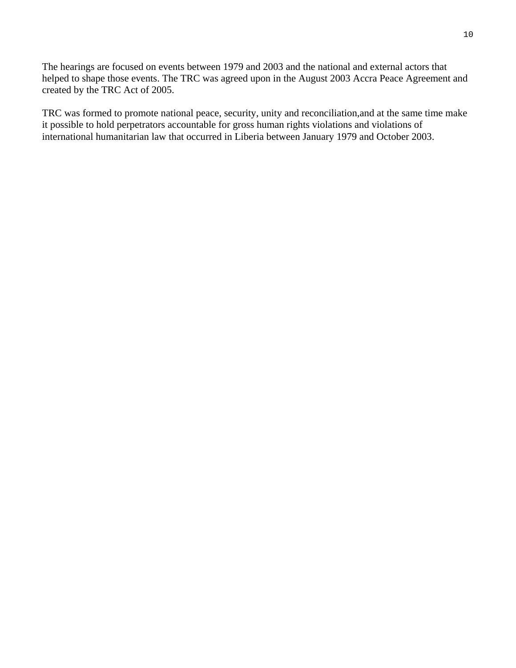The hearings are focused on events between 1979 and 2003 and the national and external actors that helped to shape those events. The TRC was agreed upon in the August 2003 Accra Peace Agreement and created by the TRC Act of 2005.

TRC was formed to promote national peace, security, unity and reconciliation,and at the same time make it possible to hold perpetrators accountable for gross human rights violations and violations of international humanitarian law that occurred in Liberia between January 1979 and October 2003.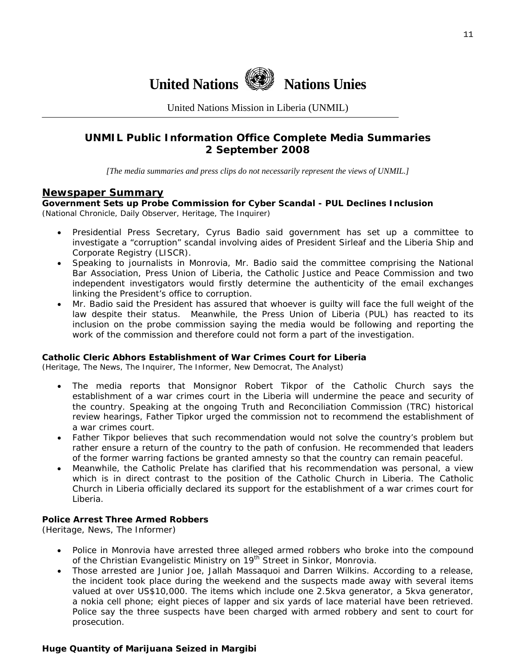

United Nations Mission in Liberia (UNMIL)

## **UNMIL Public Information Office Complete Media Summaries 2 September 2008**

*[The media summaries and press clips do not necessarily represent the views of UNMIL.]* 

#### **Newspaper Summary**

**Government Sets up Probe Commission for Cyber Scandal - PUL Declines Inclusion**  (National Chronicle, Daily Observer, Heritage, The Inquirer)

- Presidential Press Secretary, Cyrus Badio said government has set up a committee to investigate a "corruption" scandal involving aides of President Sirleaf and the Liberia Ship and Corporate Registry (LISCR).
- Speaking to journalists in Monrovia, Mr. Badio said the committee comprising the National Bar Association, Press Union of Liberia, the Catholic Justice and Peace Commission and two independent investigators would firstly determine the authenticity of the email exchanges linking the President's office to corruption.
- Mr. Badio said the President has assured that whoever is guilty will face the full weight of the law despite their status. Meanwhile, the Press Union of Liberia (PUL) has reacted to its inclusion on the probe commission saying the media would be following and reporting the work of the commission and therefore could not form a part of the investigation.

#### **Catholic Cleric Abhors Establishment of War Crimes Court for Liberia**

(Heritage, The News, The Inquirer, The Informer, New Democrat, The Analyst)

- The media reports that Monsignor Robert Tikpor of the Catholic Church says the establishment of a war crimes court in the Liberia will undermine the peace and security of the country. Speaking at the ongoing Truth and Reconciliation Commission (TRC) historical review hearings, Father Tipkor urged the commission not to recommend the establishment of a war crimes court.
- Father Tikpor believes that such recommendation would not solve the country's problem but rather ensure a return of the country to the path of confusion. He recommended that leaders of the former warring factions be granted amnesty so that the country can remain peaceful.
- Meanwhile, the Catholic Prelate has clarified that his recommendation was personal, a view which is in direct contrast to the position of the Catholic Church in Liberia. The Catholic Church in Liberia officially declared its support for the establishment of a war crimes court for Liberia.

#### **Police Arrest Three Armed Robbers**

(Heritage, News, The Informer)

- Police in Monrovia have arrested three alleged armed robbers who broke into the compound of the Christian Evangelistic Ministry on 19<sup>th</sup> Street in Sinkor, Monrovia.
- Those arrested are Junior Joe, Jallah Massaquoi and Darren Wilkins. According to a release, the incident took place during the weekend and the suspects made away with several items valued at over US\$10,000. The items which include one 2.5kva generator, a 5kva generator, a nokia cell phone; eight pieces of lapper and six yards of lace material have been retrieved. Police say the three suspects have been charged with armed robbery and sent to court for prosecution.

#### **Huge Quantity of Marijuana Seized in Margibi**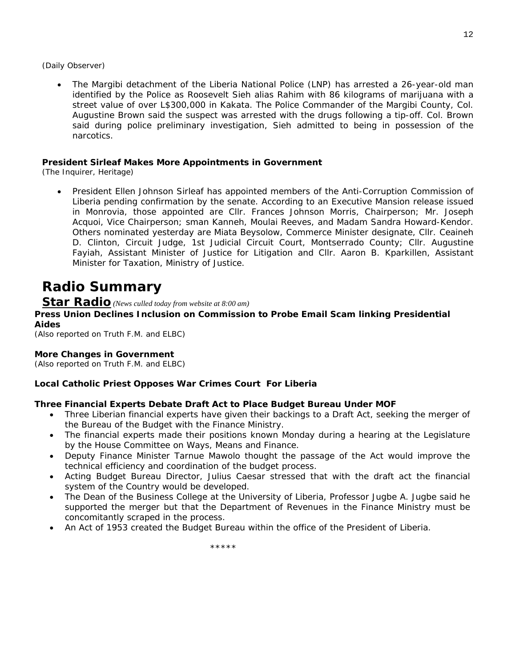(Daily Observer)

• The Margibi detachment of the Liberia National Police (LNP) has arrested a 26-year-old man identified by the Police as Roosevelt Sieh alias Rahim with 86 kilograms of marijuana with a street value of over L\$300,000 in Kakata. The Police Commander of the Margibi County, Col. Augustine Brown said the suspect was arrested with the drugs following a tip-off. Col. Brown said during police preliminary investigation, Sieh admitted to being in possession of the narcotics.

#### **President Sirleaf Makes More Appointments in Government**

(The Inquirer, Heritage)

• President Ellen Johnson Sirleaf has appointed members of the Anti-Corruption Commission of Liberia pending confirmation by the senate. According to an Executive Mansion release issued in Monrovia, those appointed are Cllr. Frances Johnson Morris, Chairperson; Mr. Joseph Acquoi, Vice Chairperson; sman Kanneh, Moulai Reeves, and Madam Sandra Howard-Kendor. Others nominated yesterday are Miata Beysolow, Commerce Minister designate, Cllr. Ceaineh D. Clinton, Circuit Judge, 1st Judicial Circuit Court, Montserrado County; Cllr. Augustine Fayiah, Assistant Minister of Justice for Litigation and Cllr. Aaron B. Kparkillen, Assistant Minister for Taxation, Ministry of Justice.

# **Radio Summary**

#### **Star Radio** *(News culled today from website at 8:00 am)*

#### **Press Union Declines Inclusion on Commission to Probe Email Scam linking Presidential Aides**

*(Also reported on Truth F.M. and ELBC)* 

#### **More Changes in Government**

*(Also reported on Truth F.M. and ELBC)* 

#### **Local Catholic Priest Opposes War Crimes Court For Liberia**

#### **Three Financial Experts Debate Draft Act to Place Budget Bureau Under MOF**

- Three Liberian financial experts have given their backings to a Draft Act, seeking the merger of the Bureau of the Budget with the Finance Ministry.
- The financial experts made their positions known Monday during a hearing at the Legislature by the House Committee on Ways, Means and Finance.
- Deputy Finance Minister Tarnue Mawolo thought the passage of the Act would improve the technical efficiency and coordination of the budget process.
- Acting Budget Bureau Director, Julius Caesar stressed that with the draft act the financial system of the Country would be developed.
- The Dean of the Business College at the University of Liberia, Professor Jugbe A. Jugbe said he supported the merger but that the Department of Revenues in the Finance Ministry must be concomitantly scraped in the process.
- An Act of 1953 created the Budget Bureau within the office of the President of Liberia.

\*\*\*\*\*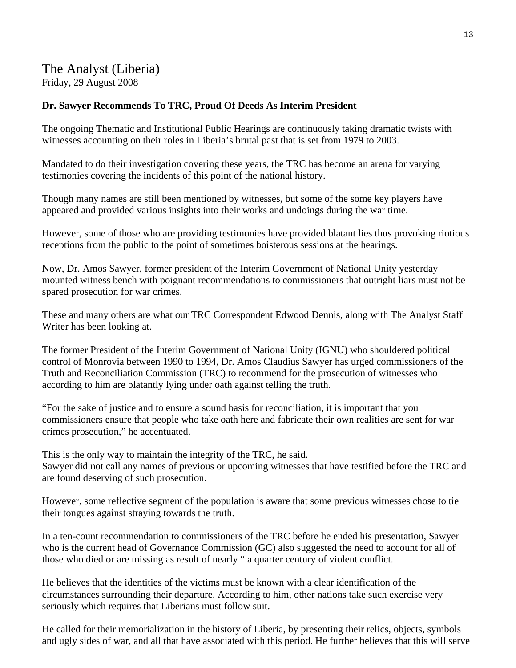## The Analyst (Liberia) Friday, 29 August 2008

### **Dr. Sawyer Recommends To TRC, Proud Of Deeds As Interim President**

The ongoing Thematic and Institutional Public Hearings are continuously taking dramatic twists with witnesses accounting on their roles in Liberia's brutal past that is set from 1979 to 2003.

Mandated to do their investigation covering these years, the TRC has become an arena for varying testimonies covering the incidents of this point of the national history.

Though many names are still been mentioned by witnesses, but some of the some key players have appeared and provided various insights into their works and undoings during the war time.

However, some of those who are providing testimonies have provided blatant lies thus provoking riotious receptions from the public to the point of sometimes boisterous sessions at the hearings.

Now, Dr. Amos Sawyer, former president of the Interim Government of National Unity yesterday mounted witness bench with poignant recommendations to commissioners that outright liars must not be spared prosecution for war crimes.

These and many others are what our TRC Correspondent Edwood Dennis, along with The Analyst Staff Writer has been looking at.

The former President of the Interim Government of National Unity (IGNU) who shouldered political control of Monrovia between 1990 to 1994, Dr. Amos Claudius Sawyer has urged commissioners of the Truth and Reconciliation Commission (TRC) to recommend for the prosecution of witnesses who according to him are blatantly lying under oath against telling the truth.

"For the sake of justice and to ensure a sound basis for reconciliation, it is important that you commissioners ensure that people who take oath here and fabricate their own realities are sent for war crimes prosecution," he accentuated.

This is the only way to maintain the integrity of the TRC, he said. Sawyer did not call any names of previous or upcoming witnesses that have testified before the TRC and are found deserving of such prosecution.

However, some reflective segment of the population is aware that some previous witnesses chose to tie their tongues against straying towards the truth.

In a ten-count recommendation to commissioners of the TRC before he ended his presentation, Sawyer who is the current head of Governance Commission (GC) also suggested the need to account for all of those who died or are missing as result of nearly " a quarter century of violent conflict.

He believes that the identities of the victims must be known with a clear identification of the circumstances surrounding their departure. According to him, other nations take such exercise very seriously which requires that Liberians must follow suit.

He called for their memorialization in the history of Liberia, by presenting their relics, objects, symbols and ugly sides of war, and all that have associated with this period. He further believes that this will serve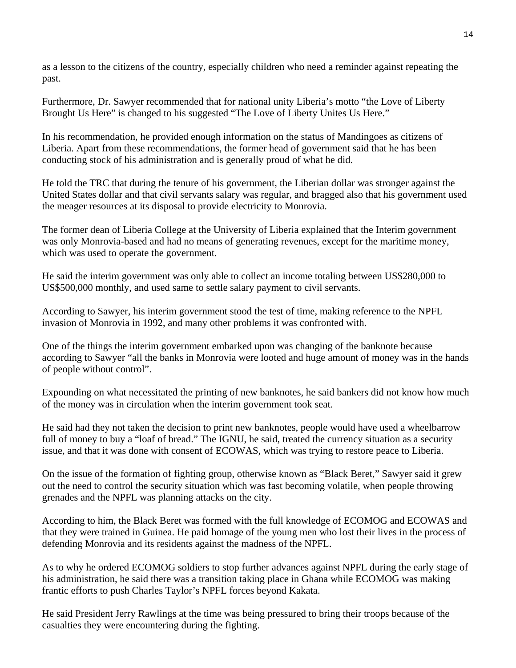as a lesson to the citizens of the country, especially children who need a reminder against repeating the past.

Furthermore, Dr. Sawyer recommended that for national unity Liberia's motto "the Love of Liberty Brought Us Here" is changed to his suggested "The Love of Liberty Unites Us Here."

In his recommendation, he provided enough information on the status of Mandingoes as citizens of Liberia. Apart from these recommendations, the former head of government said that he has been conducting stock of his administration and is generally proud of what he did.

He told the TRC that during the tenure of his government, the Liberian dollar was stronger against the United States dollar and that civil servants salary was regular, and bragged also that his government used the meager resources at its disposal to provide electricity to Monrovia.

The former dean of Liberia College at the University of Liberia explained that the Interim government was only Monrovia-based and had no means of generating revenues, except for the maritime money, which was used to operate the government.

He said the interim government was only able to collect an income totaling between US\$280,000 to US\$500,000 monthly, and used same to settle salary payment to civil servants.

According to Sawyer, his interim government stood the test of time, making reference to the NPFL invasion of Monrovia in 1992, and many other problems it was confronted with.

One of the things the interim government embarked upon was changing of the banknote because according to Sawyer "all the banks in Monrovia were looted and huge amount of money was in the hands of people without control".

Expounding on what necessitated the printing of new banknotes, he said bankers did not know how much of the money was in circulation when the interim government took seat.

He said had they not taken the decision to print new banknotes, people would have used a wheelbarrow full of money to buy a "loaf of bread." The IGNU, he said, treated the currency situation as a security issue, and that it was done with consent of ECOWAS, which was trying to restore peace to Liberia.

On the issue of the formation of fighting group, otherwise known as "Black Beret," Sawyer said it grew out the need to control the security situation which was fast becoming volatile, when people throwing grenades and the NPFL was planning attacks on the city.

According to him, the Black Beret was formed with the full knowledge of ECOMOG and ECOWAS and that they were trained in Guinea. He paid homage of the young men who lost their lives in the process of defending Monrovia and its residents against the madness of the NPFL.

As to why he ordered ECOMOG soldiers to stop further advances against NPFL during the early stage of his administration, he said there was a transition taking place in Ghana while ECOMOG was making frantic efforts to push Charles Taylor's NPFL forces beyond Kakata.

He said President Jerry Rawlings at the time was being pressured to bring their troops because of the casualties they were encountering during the fighting.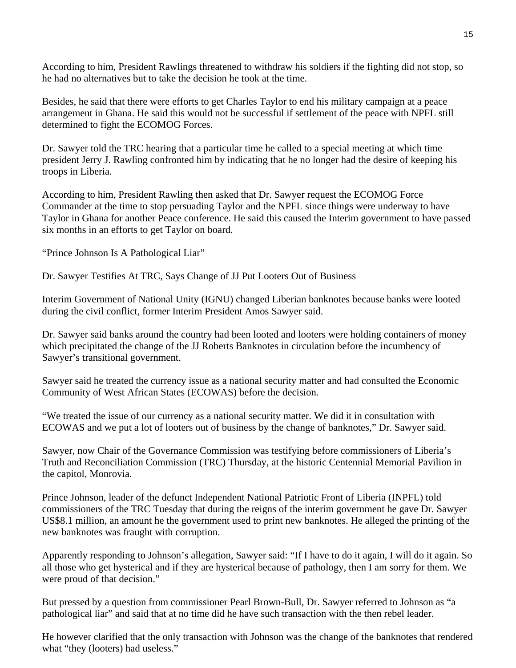According to him, President Rawlings threatened to withdraw his soldiers if the fighting did not stop, so he had no alternatives but to take the decision he took at the time.

Besides, he said that there were efforts to get Charles Taylor to end his military campaign at a peace arrangement in Ghana. He said this would not be successful if settlement of the peace with NPFL still determined to fight the ECOMOG Forces.

Dr. Sawyer told the TRC hearing that a particular time he called to a special meeting at which time president Jerry J. Rawling confronted him by indicating that he no longer had the desire of keeping his troops in Liberia.

According to him, President Rawling then asked that Dr. Sawyer request the ECOMOG Force Commander at the time to stop persuading Taylor and the NPFL since things were underway to have Taylor in Ghana for another Peace conference. He said this caused the Interim government to have passed six months in an efforts to get Taylor on board.

"Prince Johnson Is A Pathological Liar"

Dr. Sawyer Testifies At TRC, Says Change of JJ Put Looters Out of Business

Interim Government of National Unity (IGNU) changed Liberian banknotes because banks were looted during the civil conflict, former Interim President Amos Sawyer said.

Dr. Sawyer said banks around the country had been looted and looters were holding containers of money which precipitated the change of the JJ Roberts Banknotes in circulation before the incumbency of Sawyer's transitional government.

Sawyer said he treated the currency issue as a national security matter and had consulted the Economic Community of West African States (ECOWAS) before the decision.

"We treated the issue of our currency as a national security matter. We did it in consultation with ECOWAS and we put a lot of looters out of business by the change of banknotes," Dr. Sawyer said.

Sawyer, now Chair of the Governance Commission was testifying before commissioners of Liberia's Truth and Reconciliation Commission (TRC) Thursday, at the historic Centennial Memorial Pavilion in the capitol, Monrovia.

Prince Johnson, leader of the defunct Independent National Patriotic Front of Liberia (INPFL) told commissioners of the TRC Tuesday that during the reigns of the interim government he gave Dr. Sawyer US\$8.1 million, an amount he the government used to print new banknotes. He alleged the printing of the new banknotes was fraught with corruption.

Apparently responding to Johnson's allegation, Sawyer said: "If I have to do it again, I will do it again. So all those who get hysterical and if they are hysterical because of pathology, then I am sorry for them. We were proud of that decision."

But pressed by a question from commissioner Pearl Brown-Bull, Dr. Sawyer referred to Johnson as "a pathological liar" and said that at no time did he have such transaction with the then rebel leader.

He however clarified that the only transaction with Johnson was the change of the banknotes that rendered what "they (looters) had useless."